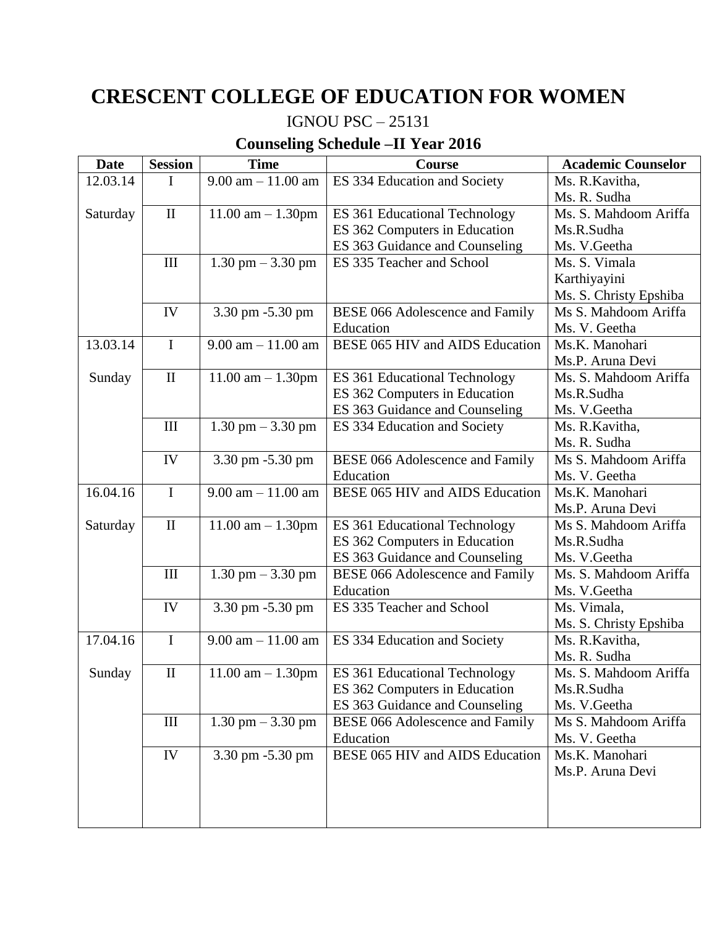## **CRESCENT COLLEGE OF EDUCATION FOR WOMEN**

## IGNOU PSC – 25131

## **Counseling Schedule –II Year 2016**

| <b>Date</b> | <b>Session</b>     | <b>Time</b>            | Course                                 | <b>Academic Counselor</b> |
|-------------|--------------------|------------------------|----------------------------------------|---------------------------|
| 12.03.14    | I                  | $9.00$ am $-11.00$ am  | ES 334 Education and Society           | Ms. R. Kavitha,           |
|             |                    |                        |                                        | Ms. R. Sudha              |
| Saturday    | $\mathbf{I}$       | $11.00$ am $- 1.30$ pm | ES 361 Educational Technology          | Ms. S. Mahdoom Ariffa     |
|             |                    |                        | ES 362 Computers in Education          | Ms.R.Sudha                |
|             |                    |                        | ES 363 Guidance and Counseling         | Ms. V. Geetha             |
|             | III                | $1.30$ pm $-3.30$ pm   | ES 335 Teacher and School              | Ms. S. Vimala             |
|             |                    |                        |                                        | Karthiyayini              |
|             |                    |                        |                                        | Ms. S. Christy Epshiba    |
|             | IV                 | 3.30 pm -5.30 pm       | <b>BESE 066 Adolescence and Family</b> | Ms S. Mahdoom Ariffa      |
|             |                    |                        | Education                              | Ms. V. Geetha             |
| 13.03.14    | $\mathbf I$        | $9.00$ am $-11.00$ am  | BESE 065 HIV and AIDS Education        | Ms.K. Manohari            |
|             |                    |                        |                                        | Ms.P. Aruna Devi          |
| Sunday      | $\rm II$           | $11.00$ am $- 1.30$ pm | ES 361 Educational Technology          | Ms. S. Mahdoom Ariffa     |
|             |                    |                        | ES 362 Computers in Education          | Ms.R.Sudha                |
|             |                    |                        | ES 363 Guidance and Counseling         | Ms. V. Geetha             |
|             | III                | $1.30$ pm $-3.30$ pm   | ES 334 Education and Society           | Ms. R. Kavitha,           |
|             |                    |                        |                                        | Ms. R. Sudha              |
|             | IV                 | 3.30 pm -5.30 pm       | <b>BESE 066 Adolescence and Family</b> | Ms S. Mahdoom Ariffa      |
|             |                    |                        | Education                              | Ms. V. Geetha             |
| 16.04.16    | $\mathbf I$        | $9.00$ am $-11.00$ am  | BESE 065 HIV and AIDS Education        | Ms.K. Manohari            |
|             |                    |                        |                                        | Ms.P. Aruna Devi          |
| Saturday    | $\mathbf{I}$       | $11.00$ am $- 1.30$ pm | ES 361 Educational Technology          | Ms S. Mahdoom Ariffa      |
|             |                    |                        | ES 362 Computers in Education          | Ms.R.Sudha                |
|             |                    |                        | ES 363 Guidance and Counseling         | Ms. V. Geetha             |
|             | III                | $1.30$ pm $-3.30$ pm   | <b>BESE 066 Adolescence and Family</b> | Ms. S. Mahdoom Ariffa     |
|             |                    |                        | Education                              | Ms. V. Geetha             |
|             | IV                 | 3.30 pm -5.30 pm       | ES 335 Teacher and School              | Ms. Vimala,               |
|             |                    |                        |                                        | Ms. S. Christy Epshiba    |
| 17.04.16    | $\mathbf I$        | $9.00$ am $-11.00$ am  | ES 334 Education and Society           | Ms. R. Kavitha,           |
|             |                    |                        |                                        | Ms. R. Sudha              |
| Sunday      | $\rm II$           | $11.00$ am $- 1.30$ pm | ES 361 Educational Technology          | Ms. S. Mahdoom Ariffa     |
|             |                    |                        | ES 362 Computers in Education          | Ms.R.Sudha                |
|             |                    |                        | ES 363 Guidance and Counseling         | Ms. V. Geetha             |
|             | $\mathop{\rm III}$ | $1.30$ pm $-3.30$ pm   | <b>BESE 066 Adolescence and Family</b> | Ms S. Mahdoom Ariffa      |
|             |                    |                        | Education                              | Ms. V. Geetha             |
|             | IV                 | 3.30 pm -5.30 pm       | BESE 065 HIV and AIDS Education        | Ms.K. Manohari            |
|             |                    |                        |                                        | Ms.P. Aruna Devi          |
|             |                    |                        |                                        |                           |
|             |                    |                        |                                        |                           |
|             |                    |                        |                                        |                           |